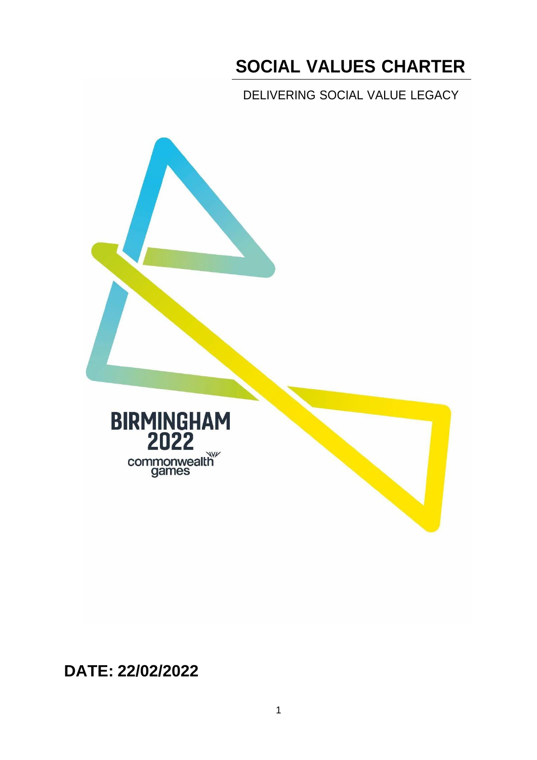# **SOCIAL VALUES CHARTER**

DELIVERING SOCIAL VALUE LEGACY





**DATE: 22/02/2022**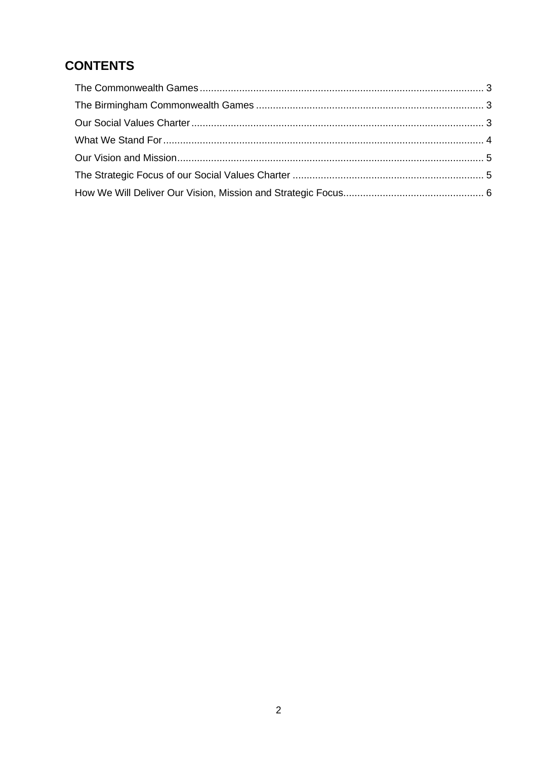# **CONTENTS**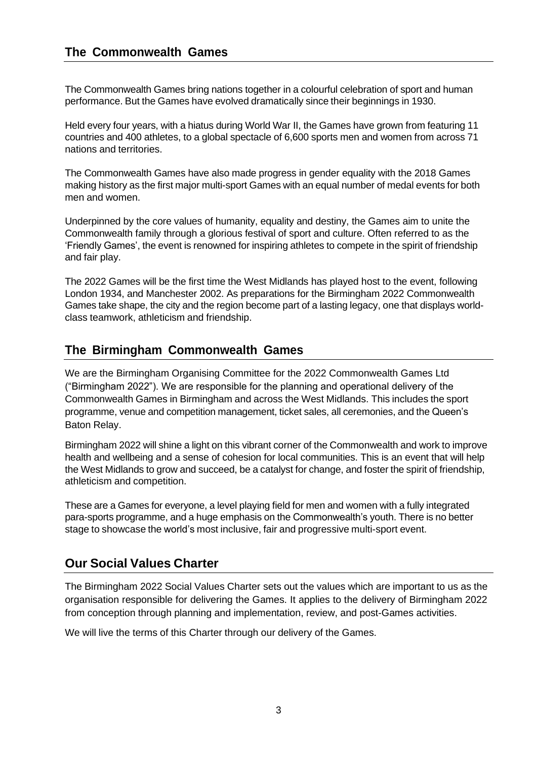### <span id="page-2-0"></span>**The Commonwealth Games**

The Commonwealth Games bring nations together in a colourful celebration of sport and human performance. But the Games have evolved dramatically since their beginnings in 1930.

Held every four years, with a hiatus during World War II, the Games have grown from featuring 11 countries and 400 athletes, to a global spectacle of 6,600 sports men and women from across 71 nations and territories.

The Commonwealth Games have also made progress in gender equality with the 2018 Games making history as the first major multi-sport Games with an equal number of medal events for both men and women.

Underpinned by the core values of humanity, equality and destiny, the Games aim to unite the Commonwealth family through a glorious festival of sport and culture. Often referred to as the 'Friendly Games', the event is renowned for inspiring athletes to compete in the spirit of friendship and fair play.

The 2022 Games will be the first time the West Midlands has played host to the event, following London 1934, and Manchester 2002. As preparations for the Birmingham 2022 Commonwealth Games take shape, the city and the region become part of a lasting legacy, one that displays worldclass teamwork, athleticism and friendship.

### <span id="page-2-1"></span>**The Birmingham Commonwealth Games**

We are the Birmingham Organising Committee for the 2022 Commonwealth Games Ltd ("Birmingham 2022"). We are responsible for the planning and operational delivery of the Commonwealth Games in Birmingham and across the West Midlands. This includes the sport programme, venue and competition management, ticket sales, all ceremonies, and the Queen's Baton Relay.

Birmingham 2022 will shine a light on this vibrant corner of the Commonwealth and work to improve health and wellbeing and a sense of cohesion for local communities. This is an event that will help the West Midlands to grow and succeed, be a catalyst for change, and foster the spirit of friendship, athleticism and competition.

These are a Games for everyone, a level playing field for men and women with a fully integrated para-sports programme, and a huge emphasis on the Commonwealth's youth. There is no better stage to showcase the world's most inclusive, fair and progressive multi-sport event.

### <span id="page-2-2"></span>**Our Social Values Charter**

The Birmingham 2022 Social Values Charter sets out the values which are important to us as the organisation responsible for delivering the Games. It applies to the delivery of Birmingham 2022 from conception through planning and implementation, review, and post-Games activities.

We will live the terms of this Charter through our delivery of the Games.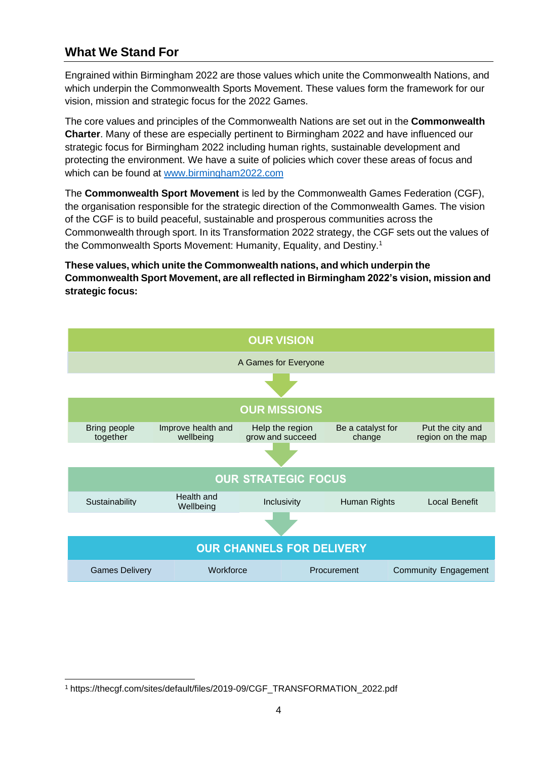# <span id="page-3-0"></span>**What We Stand For**

Engrained within Birmingham 2022 are those values which unite the Commonwealth Nations, and which underpin the Commonwealth Sports Movement. These values form the framework for our vision, mission and strategic focus for the 2022 Games.

The core values and principles of the Commonwealth Nations are set out in the **Commonwealth Charter**. Many of these are especially pertinent to Birmingham 2022 and have influenced our strategic focus for Birmingham 2022 including human rights, sustainable development and protecting the environment. We have a suite of policies which cover these areas of focus and which can be found at [www.birmingham2022.com](http://www.birmingham2022.com/)

The **Commonwealth Sport Movement** is led by the Commonwealth Games Federation (CGF), the organisation responsible for the strategic direction of the Commonwealth Games. The vision of the CGF is to build peaceful, sustainable and prosperous communities across the Commonwealth through sport. In its Transformation 2022 strategy, the CGF sets out the values of the Commonwealth Sports Movement: Humanity, Equality, and Destiny.<sup>1</sup>

**These values, which unite the Commonwealth nations, and which underpin the Commonwealth Sport Movement, are all reflected in Birmingham 2022's vision, mission and strategic focus:**



<span id="page-3-1"></span><sup>1</sup> https://thecgf.com/sites/default/files/2019-09/CGF\_TRANSFORMATION\_2022.pdf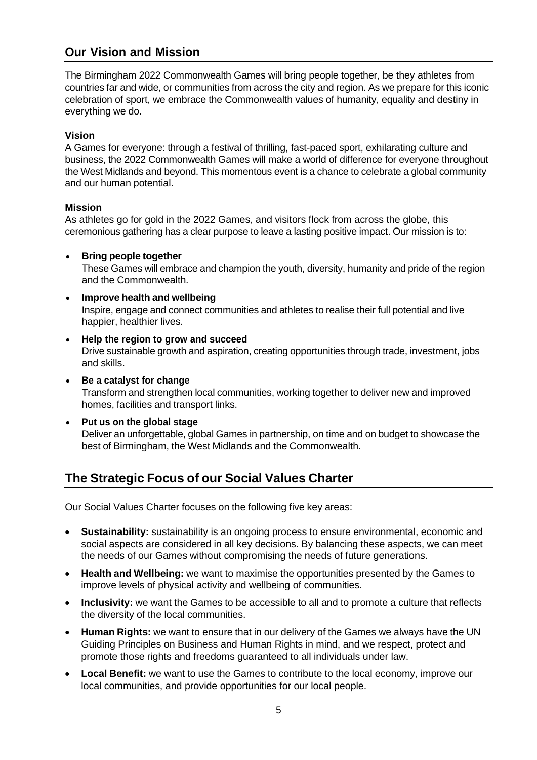### **Our Vision and Mission**

The Birmingham 2022 Commonwealth Games will bring people together, be they athletes from countries far and wide, or communities from across the city and region. As we prepare for this iconic celebration of sport, we embrace the Commonwealth values of humanity, equality and destiny in everything we do.

#### **Vision**

A Games for everyone: through a festival of thrilling, fast-paced sport, exhilarating culture and business, the 2022 Commonwealth Games will make a world of difference for everyone throughout the West Midlands and beyond. This momentous event is a chance to celebrate a global community and our human potential.

#### **Mission**

As athletes go for gold in the 2022 Games, and visitors flock from across the globe, this ceremonious gathering has a clear purpose to leave a lasting positive impact. Our mission is to:

• **Bring people together**

These Games will embrace and champion the youth, diversity, humanity and pride of the region and the Commonwealth.

- **Improve health and wellbeing** Inspire, engage and connect communities and athletes to realise their full potential and live happier, healthier lives.
- **Help the region to grow and succeed** Drive sustainable growth and aspiration, creating opportunities through trade, investment, jobs and skills.
- **Be a catalyst for change** Transform and strengthen local communities, working together to deliver new and improved homes, facilities and transport links.
- **Put us on the global stage** Deliver an unforgettable, global Games in partnership, on time and on budget to showcase the best of Birmingham, the West Midlands and the Commonwealth.

## <span id="page-4-0"></span>**The Strategic Focus of our Social Values Charter**

Our Social Values Charter focuses on the following five key areas:

- **Sustainability:** sustainability is an ongoing process to ensure environmental, economic and social aspects are considered in all key decisions. By balancing these aspects, we can meet the needs of our Games without compromising the needs of future generations.
- **Health and Wellbeing:** we want to maximise the opportunities presented by the Games to improve levels of physical activity and wellbeing of communities.
- **Inclusivity:** we want the Games to be accessible to all and to promote a culture that reflects the diversity of the local communities.
- **Human Rights:** we want to ensure that in our delivery of the Games we always have the UN Guiding Principles on Business and Human Rights in mind, and we respect, protect and promote those rights and freedoms guaranteed to all individuals under law.
- **Local Benefit:** we want to use the Games to contribute to the local economy, improve our local communities, and provide opportunities for our local people.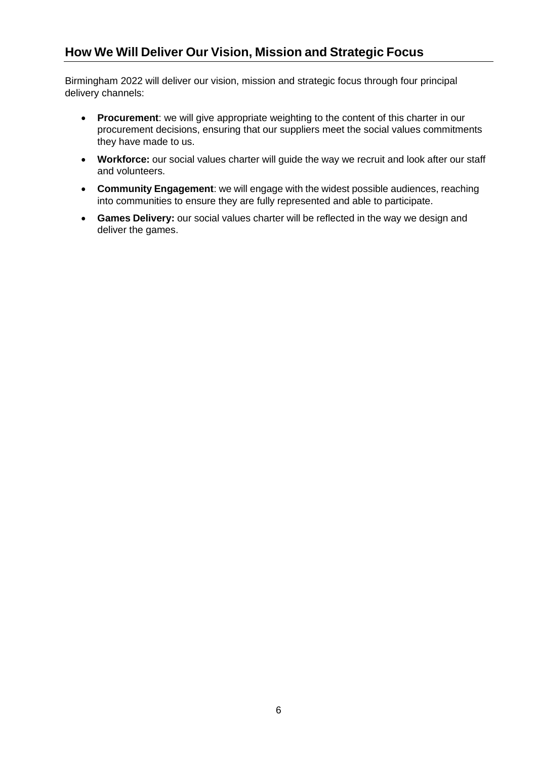# <span id="page-5-0"></span>**How We Will Deliver Our Vision, Mission and Strategic Focus**

Birmingham 2022 will deliver our vision, mission and strategic focus through four principal delivery channels:

- **Procurement**: we will give appropriate weighting to the content of this charter in our procurement decisions, ensuring that our suppliers meet the social values commitments they have made to us.
- **Workforce:** our social values charter will guide the way we recruit and look after our staff and volunteers.
- **Community Engagement**: we will engage with the widest possible audiences, reaching into communities to ensure they are fully represented and able to participate.
- **Games Delivery:** our social values charter will be reflected in the way we design and deliver the games.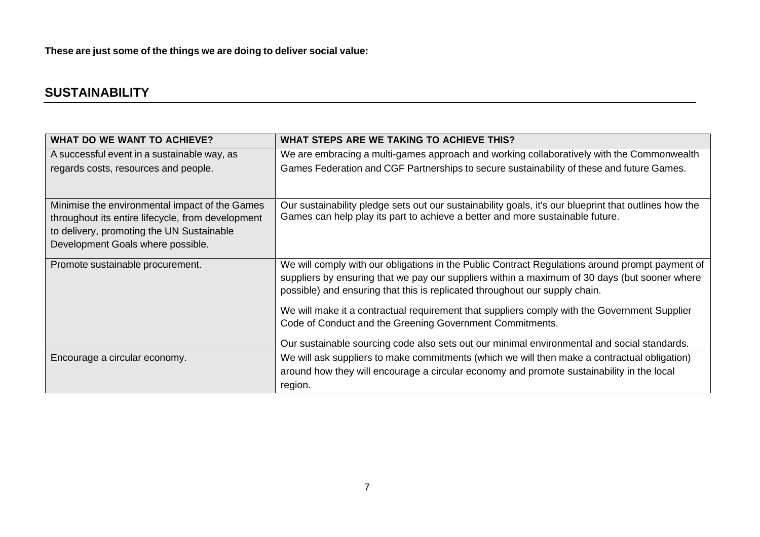**These are just some of the things we are doing to deliver social value:**

# **SUSTAINABILITY**

| <b>WHAT DO WE WANT TO ACHIEVE?</b>                                                                                                               | WHAT STEPS ARE WE TAKING TO ACHIEVE THIS?                                                                                                                                                                                                                                       |
|--------------------------------------------------------------------------------------------------------------------------------------------------|---------------------------------------------------------------------------------------------------------------------------------------------------------------------------------------------------------------------------------------------------------------------------------|
| A successful event in a sustainable way, as                                                                                                      | We are embracing a multi-games approach and working collaboratively with the Commonwealth                                                                                                                                                                                       |
| regards costs, resources and people.                                                                                                             | Games Federation and CGF Partnerships to secure sustainability of these and future Games.                                                                                                                                                                                       |
|                                                                                                                                                  |                                                                                                                                                                                                                                                                                 |
| Minimise the environmental impact of the Games<br>throughout its entire lifecycle, from development<br>to delivery, promoting the UN Sustainable | Our sustainability pledge sets out our sustainability goals, it's our blueprint that outlines how the<br>Games can help play its part to achieve a better and more sustainable future.                                                                                          |
| Development Goals where possible.                                                                                                                |                                                                                                                                                                                                                                                                                 |
| Promote sustainable procurement.                                                                                                                 | We will comply with our obligations in the Public Contract Regulations around prompt payment of<br>suppliers by ensuring that we pay our suppliers within a maximum of 30 days (but sooner where<br>possible) and ensuring that this is replicated throughout our supply chain. |
|                                                                                                                                                  | We will make it a contractual requirement that suppliers comply with the Government Supplier<br>Code of Conduct and the Greening Government Commitments.                                                                                                                        |
|                                                                                                                                                  | Our sustainable sourcing code also sets out our minimal environmental and social standards.                                                                                                                                                                                     |
| Encourage a circular economy.                                                                                                                    | We will ask suppliers to make commitments (which we will then make a contractual obligation)                                                                                                                                                                                    |
|                                                                                                                                                  | around how they will encourage a circular economy and promote sustainability in the local                                                                                                                                                                                       |
|                                                                                                                                                  | region.                                                                                                                                                                                                                                                                         |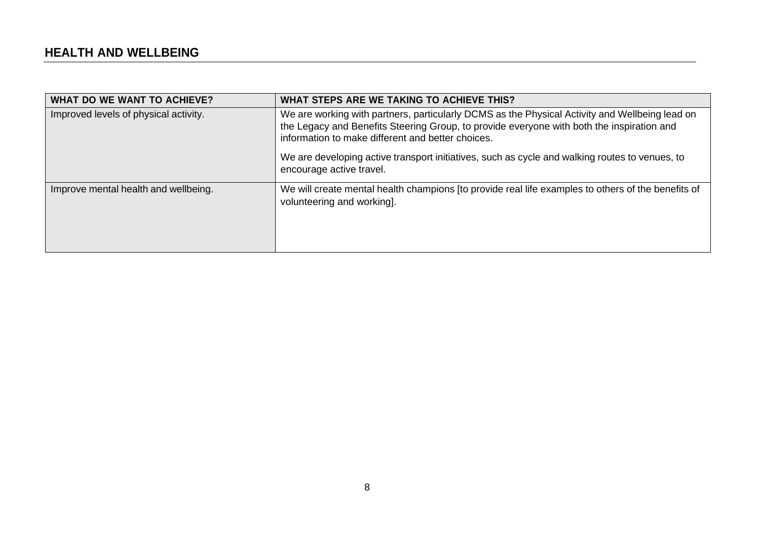| <b>WHAT DO WE WANT TO ACHIEVE?</b>    | WHAT STEPS ARE WE TAKING TO ACHIEVE THIS?                                                                                                                                                                                                        |
|---------------------------------------|--------------------------------------------------------------------------------------------------------------------------------------------------------------------------------------------------------------------------------------------------|
| Improved levels of physical activity. | We are working with partners, particularly DCMS as the Physical Activity and Wellbeing lead on<br>the Legacy and Benefits Steering Group, to provide everyone with both the inspiration and<br>information to make different and better choices. |
|                                       | We are developing active transport initiatives, such as cycle and walking routes to venues, to<br>encourage active travel.                                                                                                                       |
| Improve mental health and wellbeing.  | We will create mental health champions [to provide real life examples to others of the benefits of<br>volunteering and working].                                                                                                                 |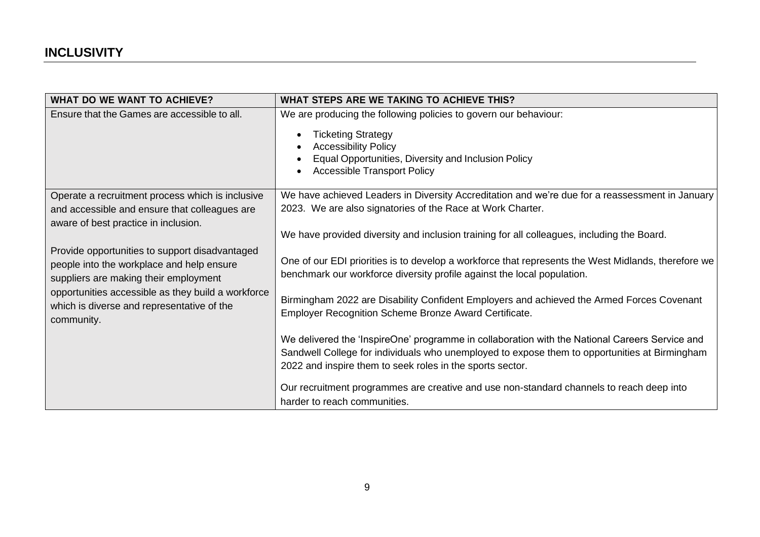| <b>WHAT DO WE WANT TO ACHIEVE?</b>                                                                                                   | WHAT STEPS ARE WE TAKING TO ACHIEVE THIS?                                                                                                                                                                                 |
|--------------------------------------------------------------------------------------------------------------------------------------|---------------------------------------------------------------------------------------------------------------------------------------------------------------------------------------------------------------------------|
| Ensure that the Games are accessible to all.                                                                                         | We are producing the following policies to govern our behaviour:<br><b>Ticketing Strategy</b><br><b>Accessibility Policy</b><br>Equal Opportunities, Diversity and Inclusion Policy<br><b>Accessible Transport Policy</b> |
| Operate a recruitment process which is inclusive                                                                                     | We have achieved Leaders in Diversity Accreditation and we're due for a reassessment in January                                                                                                                           |
| and accessible and ensure that colleagues are                                                                                        | 2023. We are also signatories of the Race at Work Charter.                                                                                                                                                                |
| aware of best practice in inclusion.                                                                                                 | We have provided diversity and inclusion training for all colleagues, including the Board.                                                                                                                                |
| Provide opportunities to support disadvantaged<br>people into the workplace and help ensure<br>suppliers are making their employment | One of our EDI priorities is to develop a workforce that represents the West Midlands, therefore we<br>benchmark our workforce diversity profile against the local population.                                            |
| opportunities accessible as they build a workforce<br>which is diverse and representative of the<br>community.                       | Birmingham 2022 are Disability Confident Employers and achieved the Armed Forces Covenant<br>Employer Recognition Scheme Bronze Award Certificate.                                                                        |
|                                                                                                                                      | We delivered the 'InspireOne' programme in collaboration with the National Careers Service and                                                                                                                            |
|                                                                                                                                      | Sandwell College for individuals who unemployed to expose them to opportunities at Birmingham                                                                                                                             |
|                                                                                                                                      | 2022 and inspire them to seek roles in the sports sector.                                                                                                                                                                 |
|                                                                                                                                      | Our recruitment programmes are creative and use non-standard channels to reach deep into<br>harder to reach communities.                                                                                                  |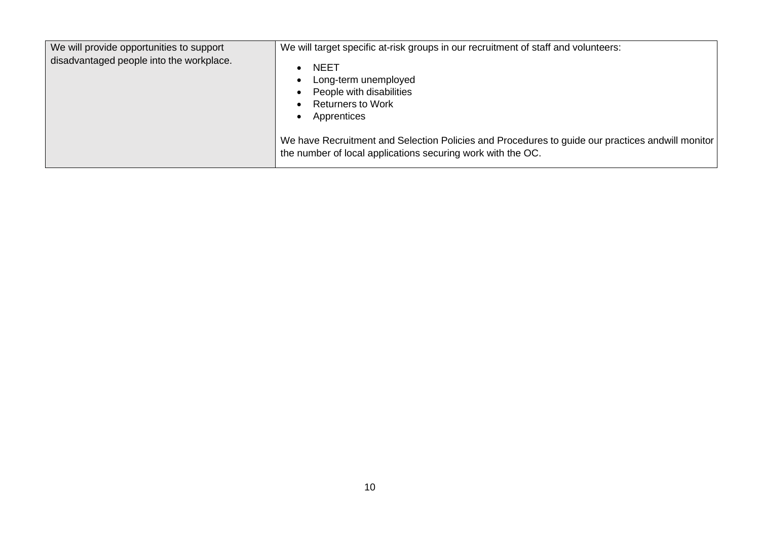| We will provide opportunities to support<br>disadvantaged people into the workplace. | We will target specific at-risk groups in our recruitment of staff and volunteers:<br><b>NEET</b><br>Long-term unemployed<br>People with disabilities<br><b>Returners to Work</b><br>Apprentices |
|--------------------------------------------------------------------------------------|--------------------------------------------------------------------------------------------------------------------------------------------------------------------------------------------------|
|                                                                                      | We have Recruitment and Selection Policies and Procedures to guide our practices and will monitor<br>the number of local applications securing work with the OC.                                 |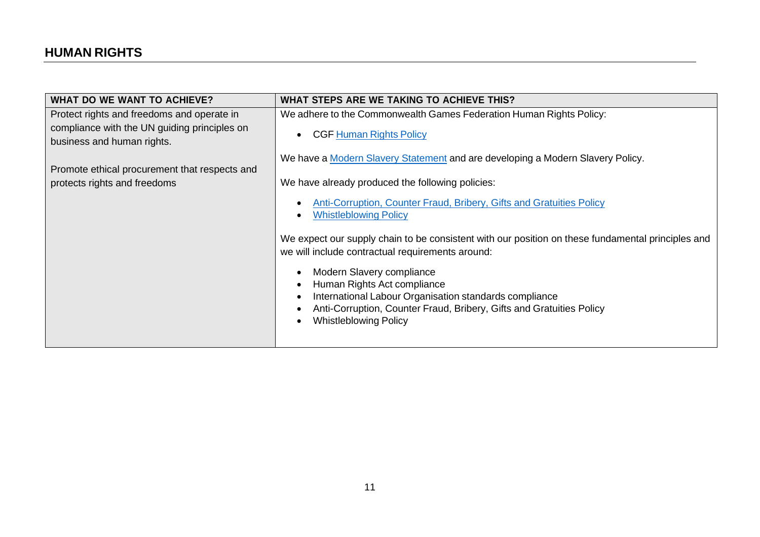| <b>WHAT DO WE WANT TO ACHIEVE?</b>            | WHAT STEPS ARE WE TAKING TO ACHIEVE THIS?                                                         |
|-----------------------------------------------|---------------------------------------------------------------------------------------------------|
| Protect rights and freedoms and operate in    | We adhere to the Commonwealth Games Federation Human Rights Policy:                               |
| compliance with the UN guiding principles on  | <b>CGF Human Rights Policy</b>                                                                    |
| business and human rights.                    |                                                                                                   |
|                                               | We have a Modern Slavery Statement and are developing a Modern Slavery Policy.                    |
| Promote ethical procurement that respects and |                                                                                                   |
| protects rights and freedoms                  | We have already produced the following policies:                                                  |
|                                               | <b>Anti-Corruption, Counter Fraud, Bribery, Gifts and Gratuities Policy</b>                       |
|                                               | <b>Whistleblowing Policy</b>                                                                      |
|                                               | We expect our supply chain to be consistent with our position on these fundamental principles and |
|                                               | we will include contractual requirements around:                                                  |
|                                               | Modern Slavery compliance                                                                         |
|                                               | Human Rights Act compliance                                                                       |
|                                               | International Labour Organisation standards compliance                                            |
|                                               | Anti-Corruption, Counter Fraud, Bribery, Gifts and Gratuities Policy                              |
|                                               | <b>Whistleblowing Policy</b>                                                                      |
|                                               |                                                                                                   |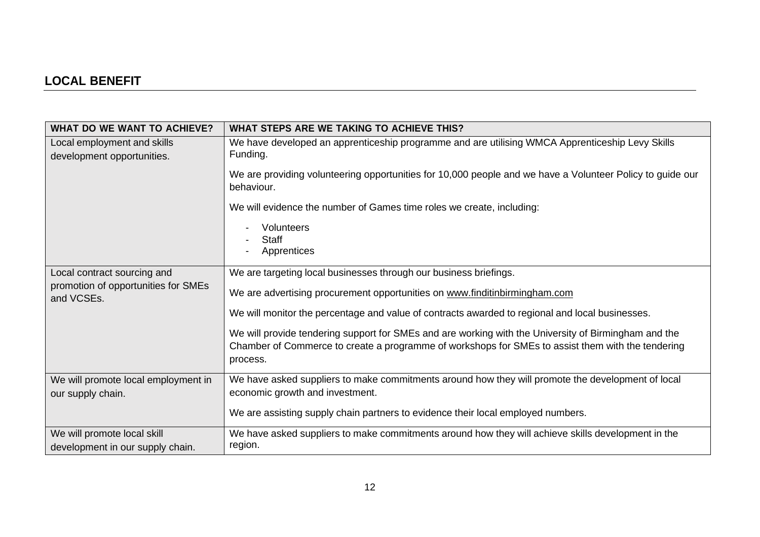# **LOCAL BENEFIT**

| <b>WHAT DO WE WANT TO ACHIEVE?</b>                              | WHAT STEPS ARE WE TAKING TO ACHIEVE THIS?                                                                                                                                                                             |
|-----------------------------------------------------------------|-----------------------------------------------------------------------------------------------------------------------------------------------------------------------------------------------------------------------|
| Local employment and skills<br>development opportunities.       | We have developed an apprenticeship programme and are utilising WMCA Apprenticeship Levy Skills<br>Funding.                                                                                                           |
|                                                                 | We are providing volunteering opportunities for 10,000 people and we have a Volunteer Policy to guide our<br>behaviour.                                                                                               |
|                                                                 | We will evidence the number of Games time roles we create, including:                                                                                                                                                 |
|                                                                 | Volunteers<br><b>Staff</b><br>Apprentices                                                                                                                                                                             |
| Local contract sourcing and                                     | We are targeting local businesses through our business briefings.                                                                                                                                                     |
| promotion of opportunities for SMEs<br>and VCSEs.               | We are advertising procurement opportunities on www.finditinbirmingham.com                                                                                                                                            |
|                                                                 | We will monitor the percentage and value of contracts awarded to regional and local businesses.                                                                                                                       |
|                                                                 | We will provide tendering support for SMEs and are working with the University of Birmingham and the<br>Chamber of Commerce to create a programme of workshops for SMEs to assist them with the tendering<br>process. |
| We will promote local employment in<br>our supply chain.        | We have asked suppliers to make commitments around how they will promote the development of local<br>economic growth and investment.                                                                                  |
|                                                                 | We are assisting supply chain partners to evidence their local employed numbers.                                                                                                                                      |
| We will promote local skill<br>development in our supply chain. | We have asked suppliers to make commitments around how they will achieve skills development in the<br>region.                                                                                                         |